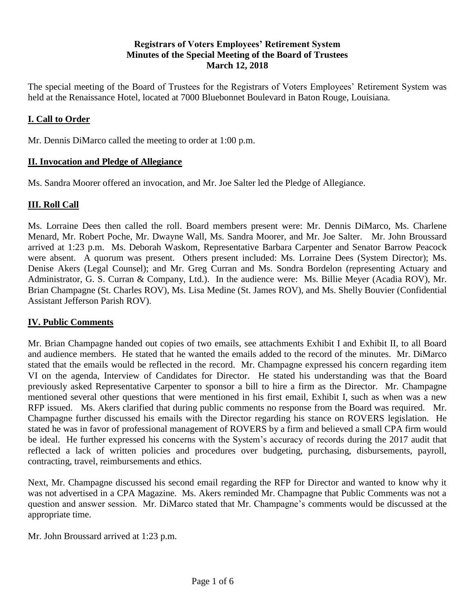## **Registrars of Voters Employees' Retirement System Minutes of the Special Meeting of the Board of Trustees March 12, 2018**

The special meeting of the Board of Trustees for the Registrars of Voters Employees' Retirement System was held at the Renaissance Hotel, located at 7000 Bluebonnet Boulevard in Baton Rouge, Louisiana.

## **I. Call to Order**

Mr. Dennis DiMarco called the meeting to order at 1:00 p.m.

## **II. Invocation and Pledge of Allegiance**

Ms. Sandra Moorer offered an invocation, and Mr. Joe Salter led the Pledge of Allegiance.

## **III. Roll Call**

Ms. Lorraine Dees then called the roll. Board members present were: Mr. Dennis DiMarco, Ms. Charlene Menard, Mr. Robert Poche, Mr. Dwayne Wall, Ms. Sandra Moorer, and Mr. Joe Salter. Mr. John Broussard arrived at 1:23 p.m. Ms. Deborah Waskom, Representative Barbara Carpenter and Senator Barrow Peacock were absent. A quorum was present. Others present included: Ms. Lorraine Dees (System Director); Ms. Denise Akers (Legal Counsel); and Mr. Greg Curran and Ms. Sondra Bordelon (representing Actuary and Administrator, G. S. Curran & Company, Ltd.). In the audience were: Ms. Billie Meyer (Acadia ROV), Mr. Brian Champagne (St. Charles ROV), Ms. Lisa Medine (St. James ROV), and Ms. Shelly Bouvier (Confidential Assistant Jefferson Parish ROV).

## **IV. Public Comments**

Mr. Brian Champagne handed out copies of two emails, see attachments Exhibit I and Exhibit II, to all Board and audience members. He stated that he wanted the emails added to the record of the minutes. Mr. DiMarco stated that the emails would be reflected in the record. Mr. Champagne expressed his concern regarding item VI on the agenda, Interview of Candidates for Director. He stated his understanding was that the Board previously asked Representative Carpenter to sponsor a bill to hire a firm as the Director. Mr. Champagne mentioned several other questions that were mentioned in his first email, Exhibit I, such as when was a new RFP issued. Ms. Akers clarified that during public comments no response from the Board was required. Mr. Champagne further discussed his emails with the Director regarding his stance on ROVERS legislation. He stated he was in favor of professional management of ROVERS by a firm and believed a small CPA firm would be ideal. He further expressed his concerns with the System's accuracy of records during the 2017 audit that reflected a lack of written policies and procedures over budgeting, purchasing, disbursements, payroll, contracting, travel, reimbursements and ethics.

Next, Mr. Champagne discussed his second email regarding the RFP for Director and wanted to know why it was not advertised in a CPA Magazine. Ms. Akers reminded Mr. Champagne that Public Comments was not a question and answer session. Mr. DiMarco stated that Mr. Champagne's comments would be discussed at the appropriate time.

Mr. John Broussard arrived at 1:23 p.m.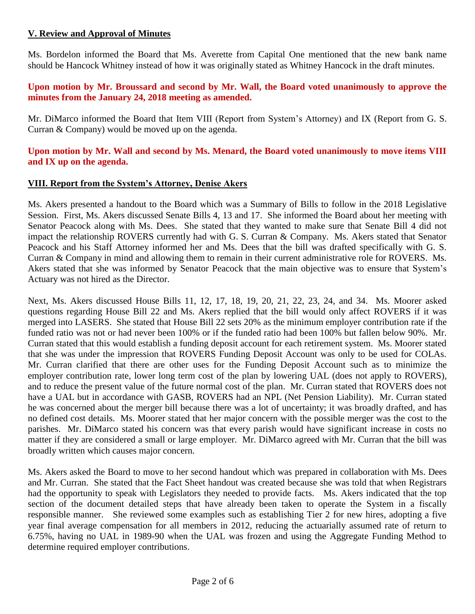## **V. Review and Approval of Minutes**

Ms. Bordelon informed the Board that Ms. Averette from Capital One mentioned that the new bank name should be Hancock Whitney instead of how it was originally stated as Whitney Hancock in the draft minutes.

#### **Upon motion by Mr. Broussard and second by Mr. Wall, the Board voted unanimously to approve the minutes from the January 24, 2018 meeting as amended.**

Mr. DiMarco informed the Board that Item VIII (Report from System's Attorney) and IX (Report from G. S. Curran & Company) would be moved up on the agenda.

## **Upon motion by Mr. Wall and second by Ms. Menard, the Board voted unanimously to move items VIII and IX up on the agenda.**

#### **VIII. Report from the System's Attorney, Denise Akers**

Ms. Akers presented a handout to the Board which was a Summary of Bills to follow in the 2018 Legislative Session. First, Ms. Akers discussed Senate Bills 4, 13 and 17. She informed the Board about her meeting with Senator Peacock along with Ms. Dees. She stated that they wanted to make sure that Senate Bill 4 did not impact the relationship ROVERS currently had with G. S. Curran & Company. Ms. Akers stated that Senator Peacock and his Staff Attorney informed her and Ms. Dees that the bill was drafted specifically with G. S. Curran & Company in mind and allowing them to remain in their current administrative role for ROVERS. Ms. Akers stated that she was informed by Senator Peacock that the main objective was to ensure that System's Actuary was not hired as the Director.

Next, Ms. Akers discussed House Bills 11, 12, 17, 18, 19, 20, 21, 22, 23, 24, and 34. Ms. Moorer asked questions regarding House Bill 22 and Ms. Akers replied that the bill would only affect ROVERS if it was merged into LASERS. She stated that House Bill 22 sets 20% as the minimum employer contribution rate if the funded ratio was not or had never been 100% or if the funded ratio had been 100% but fallen below 90%. Mr. Curran stated that this would establish a funding deposit account for each retirement system. Ms. Moorer stated that she was under the impression that ROVERS Funding Deposit Account was only to be used for COLAs. Mr. Curran clarified that there are other uses for the Funding Deposit Account such as to minimize the employer contribution rate, lower long term cost of the plan by lowering UAL (does not apply to ROVERS), and to reduce the present value of the future normal cost of the plan. Mr. Curran stated that ROVERS does not have a UAL but in accordance with GASB, ROVERS had an NPL (Net Pension Liability). Mr. Curran stated he was concerned about the merger bill because there was a lot of uncertainty; it was broadly drafted, and has no defined cost details. Ms. Moorer stated that her major concern with the possible merger was the cost to the parishes. Mr. DiMarco stated his concern was that every parish would have significant increase in costs no matter if they are considered a small or large employer. Mr. DiMarco agreed with Mr. Curran that the bill was broadly written which causes major concern.

Ms. Akers asked the Board to move to her second handout which was prepared in collaboration with Ms. Dees and Mr. Curran. She stated that the Fact Sheet handout was created because she was told that when Registrars had the opportunity to speak with Legislators they needed to provide facts. Ms. Akers indicated that the top section of the document detailed steps that have already been taken to operate the System in a fiscally responsible manner. She reviewed some examples such as establishing Tier 2 for new hires, adopting a five year final average compensation for all members in 2012, reducing the actuarially assumed rate of return to 6.75%, having no UAL in 1989-90 when the UAL was frozen and using the Aggregate Funding Method to determine required employer contributions.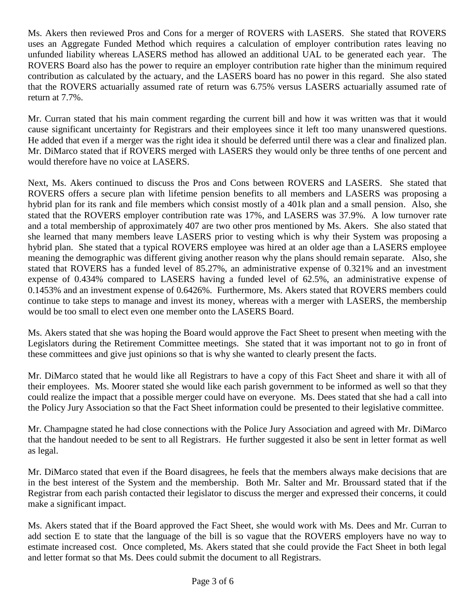Ms. Akers then reviewed Pros and Cons for a merger of ROVERS with LASERS. She stated that ROVERS uses an Aggregate Funded Method which requires a calculation of employer contribution rates leaving no unfunded liability whereas LASERS method has allowed an additional UAL to be generated each year. The ROVERS Board also has the power to require an employer contribution rate higher than the minimum required contribution as calculated by the actuary, and the LASERS board has no power in this regard. She also stated that the ROVERS actuarially assumed rate of return was 6.75% versus LASERS actuarially assumed rate of return at 7.7%.

Mr. Curran stated that his main comment regarding the current bill and how it was written was that it would cause significant uncertainty for Registrars and their employees since it left too many unanswered questions. He added that even if a merger was the right idea it should be deferred until there was a clear and finalized plan. Mr. DiMarco stated that if ROVERS merged with LASERS they would only be three tenths of one percent and would therefore have no voice at LASERS.

Next, Ms. Akers continued to discuss the Pros and Cons between ROVERS and LASERS. She stated that ROVERS offers a secure plan with lifetime pension benefits to all members and LASERS was proposing a hybrid plan for its rank and file members which consist mostly of a 401k plan and a small pension. Also, she stated that the ROVERS employer contribution rate was 17%, and LASERS was 37.9%. A low turnover rate and a total membership of approximately 407 are two other pros mentioned by Ms. Akers. She also stated that she learned that many members leave LASERS prior to vesting which is why their System was proposing a hybrid plan. She stated that a typical ROVERS employee was hired at an older age than a LASERS employee meaning the demographic was different giving another reason why the plans should remain separate. Also, she stated that ROVERS has a funded level of 85.27%, an administrative expense of 0.321% and an investment expense of 0.434% compared to LASERS having a funded level of 62.5%, an administrative expense of 0.1453% and an investment expense of 0.6426%. Furthermore, Ms. Akers stated that ROVERS members could continue to take steps to manage and invest its money, whereas with a merger with LASERS, the membership would be too small to elect even one member onto the LASERS Board.

Ms. Akers stated that she was hoping the Board would approve the Fact Sheet to present when meeting with the Legislators during the Retirement Committee meetings. She stated that it was important not to go in front of these committees and give just opinions so that is why she wanted to clearly present the facts.

Mr. DiMarco stated that he would like all Registrars to have a copy of this Fact Sheet and share it with all of their employees. Ms. Moorer stated she would like each parish government to be informed as well so that they could realize the impact that a possible merger could have on everyone. Ms. Dees stated that she had a call into the Policy Jury Association so that the Fact Sheet information could be presented to their legislative committee.

Mr. Champagne stated he had close connections with the Police Jury Association and agreed with Mr. DiMarco that the handout needed to be sent to all Registrars. He further suggested it also be sent in letter format as well as legal.

Mr. DiMarco stated that even if the Board disagrees, he feels that the members always make decisions that are in the best interest of the System and the membership. Both Mr. Salter and Mr. Broussard stated that if the Registrar from each parish contacted their legislator to discuss the merger and expressed their concerns, it could make a significant impact.

Ms. Akers stated that if the Board approved the Fact Sheet, she would work with Ms. Dees and Mr. Curran to add section E to state that the language of the bill is so vague that the ROVERS employers have no way to estimate increased cost. Once completed, Ms. Akers stated that she could provide the Fact Sheet in both legal and letter format so that Ms. Dees could submit the document to all Registrars.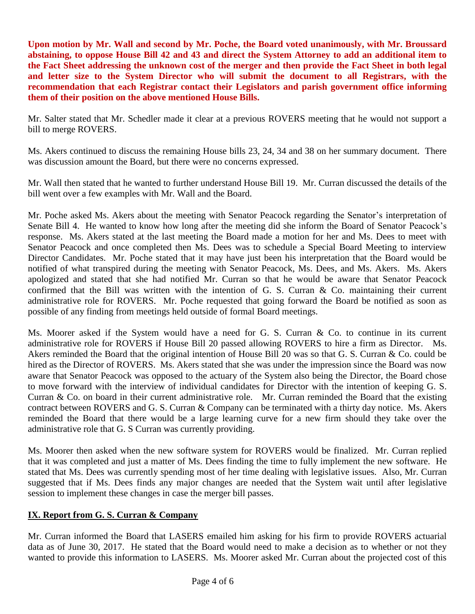**Upon motion by Mr. Wall and second by Mr. Poche, the Board voted unanimously, with Mr. Broussard abstaining, to oppose House Bill 42 and 43 and direct the System Attorney to add an additional item to the Fact Sheet addressing the unknown cost of the merger and then provide the Fact Sheet in both legal and letter size to the System Director who will submit the document to all Registrars, with the recommendation that each Registrar contact their Legislators and parish government office informing them of their position on the above mentioned House Bills.** 

Mr. Salter stated that Mr. Schedler made it clear at a previous ROVERS meeting that he would not support a bill to merge ROVERS.

Ms. Akers continued to discuss the remaining House bills 23, 24, 34 and 38 on her summary document. There was discussion amount the Board, but there were no concerns expressed.

Mr. Wall then stated that he wanted to further understand House Bill 19. Mr. Curran discussed the details of the bill went over a few examples with Mr. Wall and the Board.

Mr. Poche asked Ms. Akers about the meeting with Senator Peacock regarding the Senator's interpretation of Senate Bill 4. He wanted to know how long after the meeting did she inform the Board of Senator Peacock's response. Ms. Akers stated at the last meeting the Board made a motion for her and Ms. Dees to meet with Senator Peacock and once completed then Ms. Dees was to schedule a Special Board Meeting to interview Director Candidates. Mr. Poche stated that it may have just been his interpretation that the Board would be notified of what transpired during the meeting with Senator Peacock, Ms. Dees, and Ms. Akers. Ms. Akers apologized and stated that she had notified Mr. Curran so that he would be aware that Senator Peacock confirmed that the Bill was written with the intention of G. S. Curran & Co. maintaining their current administrative role for ROVERS. Mr. Poche requested that going forward the Board be notified as soon as possible of any finding from meetings held outside of formal Board meetings.

Ms. Moorer asked if the System would have a need for G. S. Curran & Co. to continue in its current administrative role for ROVERS if House Bill 20 passed allowing ROVERS to hire a firm as Director. Ms. Akers reminded the Board that the original intention of House Bill 20 was so that G. S. Curran & Co. could be hired as the Director of ROVERS. Ms. Akers stated that she was under the impression since the Board was now aware that Senator Peacock was opposed to the actuary of the System also being the Director, the Board chose to move forward with the interview of individual candidates for Director with the intention of keeping G. S. Curran & Co. on board in their current administrative role. Mr. Curran reminded the Board that the existing contract between ROVERS and G. S. Curran & Company can be terminated with a thirty day notice. Ms. Akers reminded the Board that there would be a large learning curve for a new firm should they take over the administrative role that G. S Curran was currently providing.

Ms. Moorer then asked when the new software system for ROVERS would be finalized. Mr. Curran replied that it was completed and just a matter of Ms. Dees finding the time to fully implement the new software. He stated that Ms. Dees was currently spending most of her time dealing with legislative issues. Also, Mr. Curran suggested that if Ms. Dees finds any major changes are needed that the System wait until after legislative session to implement these changes in case the merger bill passes.

## **IX. Report from G. S. Curran & Company**

Mr. Curran informed the Board that LASERS emailed him asking for his firm to provide ROVERS actuarial data as of June 30, 2017. He stated that the Board would need to make a decision as to whether or not they wanted to provide this information to LASERS. Ms. Moorer asked Mr. Curran about the projected cost of this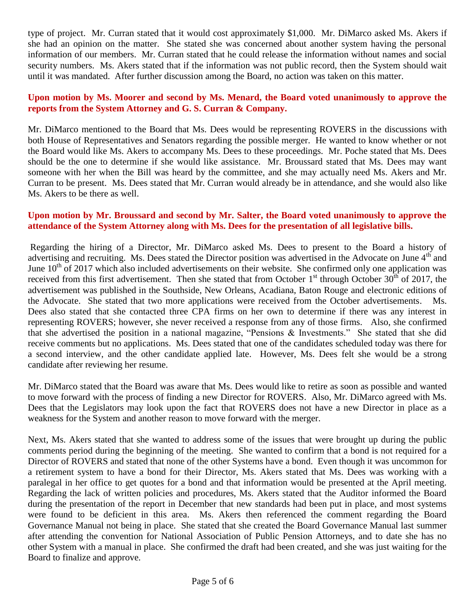type of project. Mr. Curran stated that it would cost approximately \$1,000. Mr. DiMarco asked Ms. Akers if she had an opinion on the matter. She stated she was concerned about another system having the personal information of our members. Mr. Curran stated that he could release the information without names and social security numbers. Ms. Akers stated that if the information was not public record, then the System should wait until it was mandated. After further discussion among the Board, no action was taken on this matter.

#### **Upon motion by Ms. Moorer and second by Ms. Menard, the Board voted unanimously to approve the reports from the System Attorney and G. S. Curran & Company.**

Mr. DiMarco mentioned to the Board that Ms. Dees would be representing ROVERS in the discussions with both House of Representatives and Senators regarding the possible merger. He wanted to know whether or not the Board would like Ms. Akers to accompany Ms. Dees to these proceedings. Mr. Poche stated that Ms. Dees should be the one to determine if she would like assistance. Mr. Broussard stated that Ms. Dees may want someone with her when the Bill was heard by the committee, and she may actually need Ms. Akers and Mr. Curran to be present. Ms. Dees stated that Mr. Curran would already be in attendance, and she would also like Ms. Akers to be there as well.

#### **Upon motion by Mr. Broussard and second by Mr. Salter, the Board voted unanimously to approve the attendance of the System Attorney along with Ms. Dees for the presentation of all legislative bills.**

Regarding the hiring of a Director, Mr. DiMarco asked Ms. Dees to present to the Board a history of advertising and recruiting. Ms. Dees stated the Director position was advertised in the Advocate on June 4<sup>th</sup> and June  $10^{th}$  of 2017 which also included advertisements on their website. She confirmed only one application was received from this first advertisement. Then she stated that from October  $1<sup>st</sup>$  through October  $30<sup>th</sup>$  of 2017, the advertisement was published in the Southside, New Orleans, Acadiana, Baton Rouge and electronic editions of the Advocate. She stated that two more applications were received from the October advertisements. Dees also stated that she contacted three CPA firms on her own to determine if there was any interest in representing ROVERS; however, she never received a response from any of those firms. Also, she confirmed that she advertised the position in a national magazine, "Pensions & Investments." She stated that she did receive comments but no applications. Ms. Dees stated that one of the candidates scheduled today was there for a second interview, and the other candidate applied late. However, Ms. Dees felt she would be a strong candidate after reviewing her resume.

Mr. DiMarco stated that the Board was aware that Ms. Dees would like to retire as soon as possible and wanted to move forward with the process of finding a new Director for ROVERS. Also, Mr. DiMarco agreed with Ms. Dees that the Legislators may look upon the fact that ROVERS does not have a new Director in place as a weakness for the System and another reason to move forward with the merger.

Next, Ms. Akers stated that she wanted to address some of the issues that were brought up during the public comments period during the beginning of the meeting. She wanted to confirm that a bond is not required for a Director of ROVERS and stated that none of the other Systems have a bond. Even though it was uncommon for a retirement system to have a bond for their Director, Ms. Akers stated that Ms. Dees was working with a paralegal in her office to get quotes for a bond and that information would be presented at the April meeting. Regarding the lack of written policies and procedures, Ms. Akers stated that the Auditor informed the Board during the presentation of the report in December that new standards had been put in place, and most systems were found to be deficient in this area. Ms. Akers then referenced the comment regarding the Board Governance Manual not being in place. She stated that she created the Board Governance Manual last summer after attending the convention for National Association of Public Pension Attorneys, and to date she has no other System with a manual in place. She confirmed the draft had been created, and she was just waiting for the Board to finalize and approve.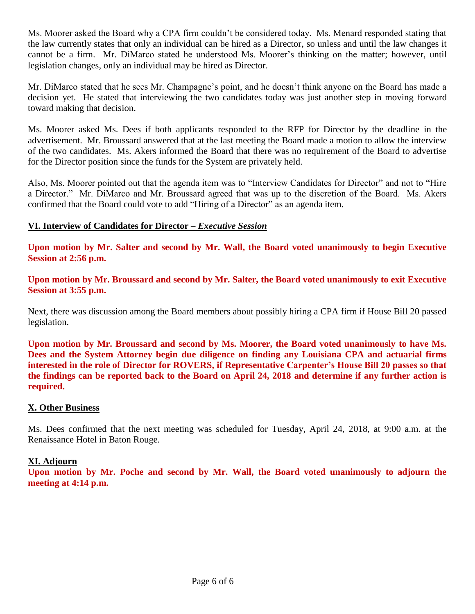Ms. Moorer asked the Board why a CPA firm couldn't be considered today. Ms. Menard responded stating that the law currently states that only an individual can be hired as a Director, so unless and until the law changes it cannot be a firm. Mr. DiMarco stated he understood Ms. Moorer's thinking on the matter; however, until legislation changes, only an individual may be hired as Director.

Mr. DiMarco stated that he sees Mr. Champagne's point, and he doesn't think anyone on the Board has made a decision yet. He stated that interviewing the two candidates today was just another step in moving forward toward making that decision.

Ms. Moorer asked Ms. Dees if both applicants responded to the RFP for Director by the deadline in the advertisement. Mr. Broussard answered that at the last meeting the Board made a motion to allow the interview of the two candidates. Ms. Akers informed the Board that there was no requirement of the Board to advertise for the Director position since the funds for the System are privately held.

Also, Ms. Moorer pointed out that the agenda item was to "Interview Candidates for Director" and not to "Hire a Director." Mr. DiMarco and Mr. Broussard agreed that was up to the discretion of the Board. Ms. Akers confirmed that the Board could vote to add "Hiring of a Director" as an agenda item.

## **VI. Interview of Candidates for Director –** *Executive Session*

**Upon motion by Mr. Salter and second by Mr. Wall, the Board voted unanimously to begin Executive Session at 2:56 p.m.**

**Upon motion by Mr. Broussard and second by Mr. Salter, the Board voted unanimously to exit Executive Session at 3:55 p.m.**

Next, there was discussion among the Board members about possibly hiring a CPA firm if House Bill 20 passed legislation.

**Upon motion by Mr. Broussard and second by Ms. Moorer, the Board voted unanimously to have Ms. Dees and the System Attorney begin due diligence on finding any Louisiana CPA and actuarial firms interested in the role of Director for ROVERS, if Representative Carpenter's House Bill 20 passes so that the findings can be reported back to the Board on April 24, 2018 and determine if any further action is required.**

#### **X. Other Business**

Ms. Dees confirmed that the next meeting was scheduled for Tuesday, April 24, 2018, at 9:00 a.m. at the Renaissance Hotel in Baton Rouge.

#### **XI. Adjourn**

**Upon motion by Mr. Poche and second by Mr. Wall, the Board voted unanimously to adjourn the meeting at 4:14 p.m.**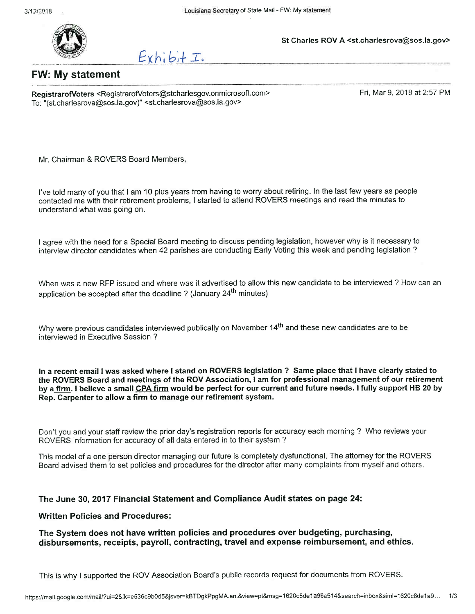

St Charles ROV A <st.charlesrova@sos.la.gov>

 $Exhib$ + $\tau$ .

**FW: My statement** 

RegistrarofVoters <RegistrarofVoters@stcharlesgov.onmicrosoft.com> To: "(st.charlesrova@sos.la.gov)" <st.charlesrova@sos.la.gov>

Fri. Mar 9, 2018 at 2:57 PM

Mr. Chairman & ROVERS Board Members,

I've told many of you that I am 10 plus years from having to worry about retiring. In the last few years as people contacted me with their retirement problems, I started to attend ROVERS meetings and read the minutes to understand what was going on.

I agree with the need for a Special Board meeting to discuss pending legislation, however why is it necessary to interview director candidates when 42 parishes are conducting Early Voting this week and pending legislation?

When was a new RFP issued and where was it advertised to allow this new candidate to be interviewed ? How can an application be accepted after the deadline? (January 24<sup>th</sup> minutes)

Why were previous candidates interviewed publically on November 14<sup>th</sup> and these new candidates are to be interviewed in Executive Session?

In a recent email I was asked where I stand on ROVERS legislation ? Same place that I have clearly stated to the ROVERS Board and meetings of the ROV Association, I am for professional management of our retirement by a firm. I believe a small CPA firm would be perfect for our current and future needs. I fully support HB 20 by Rep. Carpenter to allow a firm to manage our retirement system.

Don't you and your staff review the prior day's registration reports for accuracy each morning ? Who reviews your ROVERS information for accuracy of all data entered in to their system?

This model of a one person director managing our future is completely dysfunctional. The attorney for the ROVERS Board advised them to set policies and procedures for the director after many complaints from myself and others.

#### The June 30, 2017 Financial Statement and Compliance Audit states on page 24:

#### **Written Policies and Procedures:**

The System does not have written policies and procedures over budgeting, purchasing, disbursements, receipts, payroll, contracting, travel and expense reimbursement, and ethics.

This is why I supported the ROV Association Board's public records request for documents from ROVERS.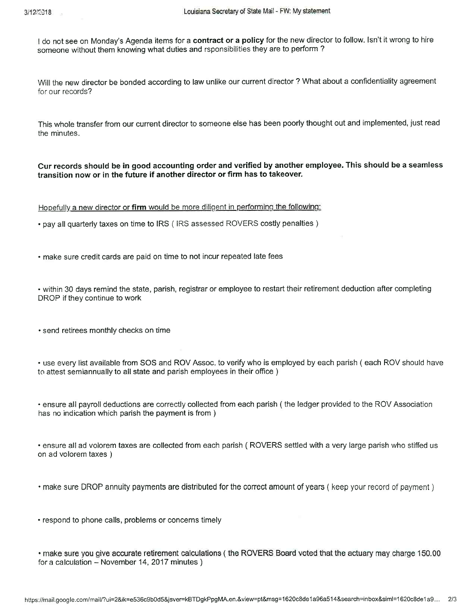$\overline{\phantom{a}}$ 

I do not see on Monday's Agenda items for a contract or a policy for the new director to follow. Isn't it wrong to hire someone without them knowing what duties and rsponsibilities they are to perform?

Will the new director be bonded according to law unlike our current director? What about a confidentiality agreement for our records?

This whole transfer from our current director to someone else has been poorly thought out and implemented, just read the minutes.

Cur records should be in good accounting order and verified by another employee. This should be a seamless transition now or in the future if another director or firm has to takeover.

Hopefully a new director or firm would be more diligent in performing the following:

• pay all quarterly taxes on time to IRS (IRS assessed ROVERS costly penalties)

• make sure credit cards are paid on time to not incur repeated late fees

• within 30 days remind the state, parish, registrar or employee to restart their retirement deduction after completing DROP if they continue to work

· send retirees monthly checks on time

• use every list available from SOS and ROV Assoc. to verify who is employed by each parish (each ROV should have to attest semiannually to all state and parish employees in their office)

• ensure all payroll deductions are correctly collected from each parish (the ledger provided to the ROV Association has no indication which parish the payment is from)

• ensure all ad volorem taxes are collected from each parish (ROVERS settled with a very large parish who stiffed us on ad volorem taxes)

• make sure DROP annuity payments are distributed for the correct amount of years (keep your record of payment)

• respond to phone calls, problems or concerns timely

• make sure you give accurate retirement calculations (the ROVERS Board voted that the actuary may charge 150.00 for a calculation - November 14, 2017 minutes)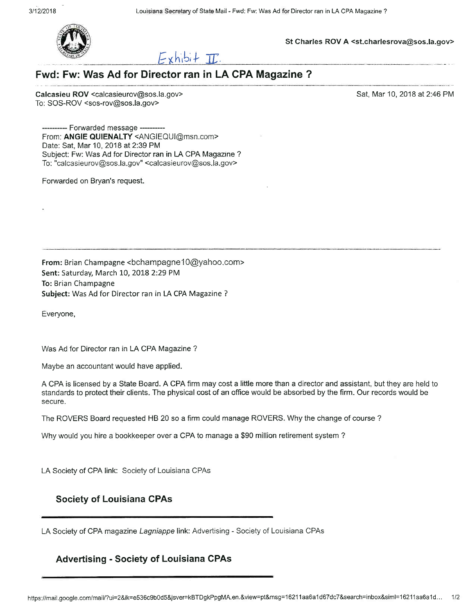

St Charles ROV A <st.charlesrova@sos.la.gov>



# Fwd: Fw: Was Ad for Director ran in LA CPA Magazine ?

Calcasieu ROV <calcasieurov@sos.la.gov> To: SOS-ROV <sos-rov@sos.la.gov>

Sat, Mar 10, 2018 at 2:46 PM

-- Forwarded message ----From: ANGIE QUIENALTY <ANGIEQUI@msn.com> Date: Sat, Mar 10, 2018 at 2:39 PM Subject: Fw: Was Ad for Director ran in LA CPA Magazine ? To: "calcasieurov@sos.la.gov" <calcasieurov@sos.la.gov>

Forwarded on Bryan's request.

From: Brian Champagne <bchampagne10@yahoo.com> Sent: Saturday, March 10, 2018 2:29 PM To: Brian Champagne Subject: Was Ad for Director ran in LA CPA Magazine ?

Everyone,

Was Ad for Director ran in LA CPA Magazine?

Maybe an accountant would have applied.

A CPA is licensed by a State Board. A CPA firm may cost a little more than a director and assistant, but they are held to standards to protect their clients. The physical cost of an office would be absorbed by the firm. Our records would be secure.

The ROVERS Board requested HB 20 so a firm could manage ROVERS. Why the change of course?

Why would you hire a bookkeeper over a CPA to manage a \$90 million retirement system?

LA Society of CPA link: Society of Louisiana CPAs

#### **Society of Louisiana CPAs**

LA Society of CPA magazine Lagniappe link: Advertising - Society of Louisiana CPAs

#### **Advertising - Society of Louisiana CPAs**